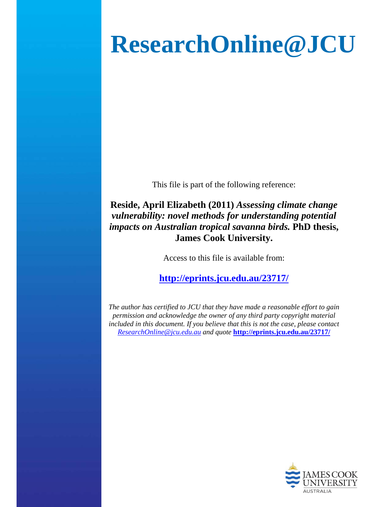## **ResearchOnline@JCU**

This file is part of the following reference:

**Reside, April Elizabeth (2011)** *Assessing climate change vulnerability: novel methods for understanding potential impacts on Australian tropical savanna birds.* **PhD thesis, James Cook University.** 

Access to this file is available from:

**http://eprints.jcu.edu.au/23717/**

*The author has certified to JCU that they have made a reasonable effort to gain permission and acknowledge the owner of any third party copyright material included in this document. If you believe that this is not the case, please contact ResearchOnline@jcu.edu.au and quote* **http://eprints.jcu.edu.au/23717/**

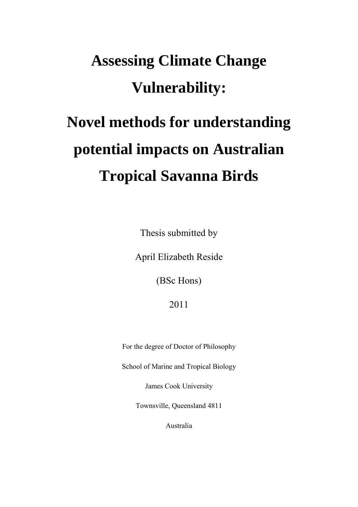# **Assessing Climate Change Vulnerability:**

## **Novel methods for understanding potential impacts on Australian Tropical Savanna Birds**

Thesis submitted by

April Elizabeth Reside

(BSc Hons)

2011

For the degree of Doctor of Philosophy

School of Marine and Tropical Biology

James Cook University

Townsville, Queensland 4811

Australia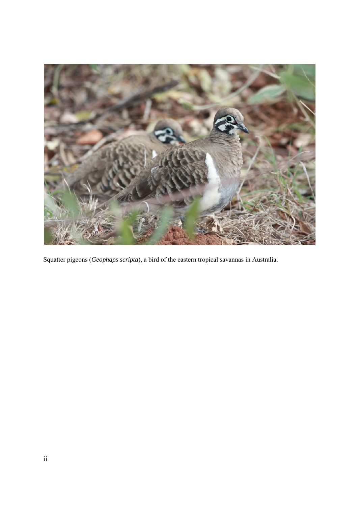

Squatter pigeons (*Geophaps scripta*), a bird of the eastern tropical savannas in Australia.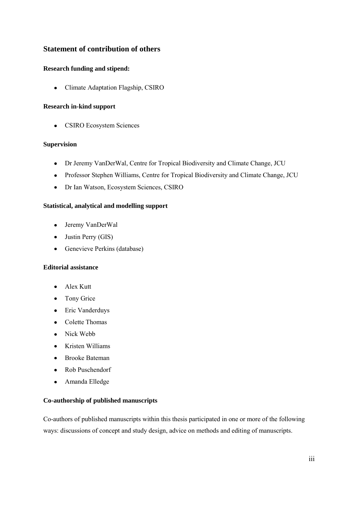#### <span id="page-3-0"></span>**Statement of contribution of others**

#### <span id="page-3-1"></span>**Research funding and stipend:**

Climate Adaptation Flagship, CSIRO  $\bullet$ 

#### <span id="page-3-2"></span>**Research in-kind support**

CSIRO Ecosystem Sciences  $\bullet$ 

#### <span id="page-3-3"></span>**Supervision**

- Dr Jeremy VanDerWal, Centre for Tropical Biodiversity and Climate Change, JCU
- Professor Stephen Williams, Centre for Tropical Biodiversity and Climate Change, JCU
- Dr Ian Watson, Ecosystem Sciences, CSIRO

#### <span id="page-3-4"></span>**Statistical, analytical and modelling support**

- Jeremy VanDerWal
- Justin Perry (GIS)
- Genevieve Perkins (database)

#### <span id="page-3-5"></span>**Editorial assistance**

- Alex Kutt
- Tony Grice
- Eric Vanderduys
- Colette Thomas
- Nick Webb
- Kristen Williams
- Brooke Bateman
- Rob Puschendorf
- Amanda Elledge  $\bullet$

#### <span id="page-3-6"></span>**Co-authorship of published manuscripts**

Co-authors of published manuscripts within this thesis participated in one or more of the following ways: discussions of concept and study design, advice on methods and editing of manuscripts.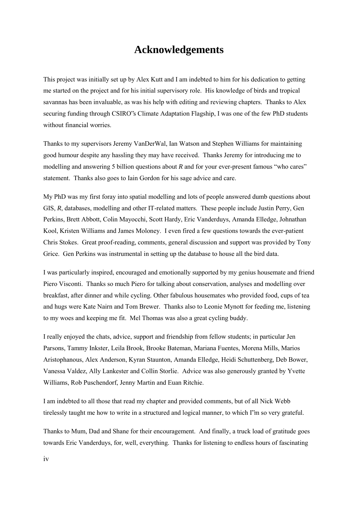## **Acknowledgements**

<span id="page-4-0"></span>This project was initially set up by Alex Kutt and I am indebted to him for his dedication to getting me started on the project and for his initial supervisory role. His knowledge of birds and tropical savannas has been invaluable, as was his help with editing and reviewing chapters. Thanks to Alex securing funding through CSIRO"s Climate Adaptation Flagship, I was one of the few PhD students without financial worries.

Thanks to my supervisors Jeremy VanDerWal, Ian Watson and Stephen Williams for maintaining good humour despite any hassling they may have received. Thanks Jeremy for introducing me to modelling and answering 5 billion questions about *R* and for your ever-present famous "who cares" statement. Thanks also goes to Iain Gordon for his sage advice and care.

My PhD was my first foray into spatial modelling and lots of people answered dumb questions about GIS, *R*, databases, modelling and other IT-related matters. These people include Justin Perry, Gen Perkins, Brett Abbott, Colin Mayocchi, Scott Hardy, Eric Vanderduys, Amanda Elledge, Johnathan Kool, Kristen Williams and James Moloney. I even fired a few questions towards the ever-patient Chris Stokes. Great proof-reading, comments, general discussion and support was provided by Tony Grice. Gen Perkins was instrumental in setting up the database to house all the bird data.

I was particularly inspired, encouraged and emotionally supported by my genius housemate and friend Piero Visconti. Thanks so much Piero for talking about conservation, analyses and modelling over breakfast, after dinner and while cycling. Other fabulous housemates who provided food, cups of tea and hugs were Kate Nairn and Tom Brewer. Thanks also to Leonie Mynott for feeding me, listening to my woes and keeping me fit. Mel Thomas was also a great cycling buddy.

I really enjoyed the chats, advice, support and friendship from fellow students; in particular Jen Parsons, Tammy Inkster, Leila Brook, Brooke Bateman, Mariana Fuentes, Morena Mills, Marios Aristophanous, Alex Anderson, Kyran Staunton, Amanda Elledge, Heidi Schuttenberg, Deb Bower, Vanessa Valdez, Ally Lankester and Collin Storlie. Advice was also generously granted by Yvette Williams, Rob Puschendorf, Jenny Martin and Euan Ritchie.

I am indebted to all those that read my chapter and provided comments, but of all Nick Webb tirelessly taught me how to write in a structured and logical manner, to which I"m so very grateful.

Thanks to Mum, Dad and Shane for their encouragement. And finally, a truck load of gratitude goes towards Eric Vanderduys, for, well, everything. Thanks for listening to endless hours of fascinating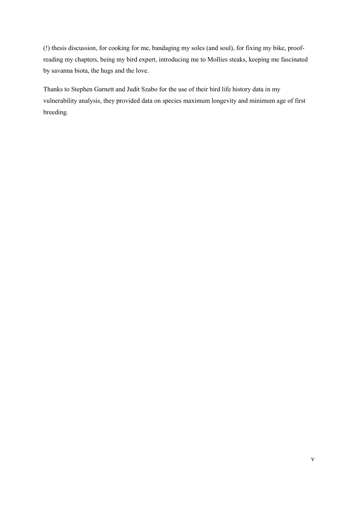(!) thesis discussion, for cooking for me, bandaging my soles (and soul), for fixing my bike, proofreading my chapters, being my bird expert, introducing me to Mollies steaks, keeping me fascinated by savanna biota, the hugs and the love.

Thanks to Stephen Garnett and Judit Szabo for the use of their bird life history data in my vulnerability analysis, they provided data on species maximum longevity and minimum age of first breeding.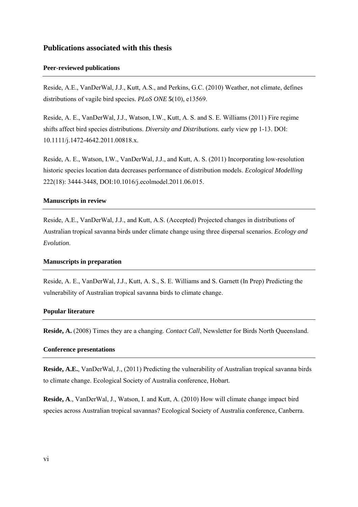#### <span id="page-6-0"></span>**Publications associated with this thesis**

#### <span id="page-6-1"></span>**Peer-reviewed publications**

Reside, A.E., VanDerWal, J.J., Kutt, A.S., and Perkins, G.C. (2010) Weather, not climate, defines distributions of vagile bird species. *PLoS ONE* **5**(10), e13569.

Reside, A. E., VanDerWal, J.J., Watson, I.W., Kutt, A. S. and S. E. Williams (2011) Fire regime shifts affect bird species distributions. *Diversity and Distributions.* early view pp 1-13. DOI: 10.1111/j.1472-4642.2011.00818.x.

Reside, A. E., Watson, I.W., VanDerWal, J.J., and Kutt, A. S. (2011) Incorporating low-resolution historic species location data decreases performance of distribution models. *Ecological Modelling* 222(18): 3444-3448, DOI:10.1016/j.ecolmodel.2011.06.015.

#### <span id="page-6-2"></span>**Manuscripts in review**

Reside, A.E., VanDerWal, J.J., and Kutt, A.S. (Accepted) Projected changes in distributions of Australian tropical savanna birds under climate change using three dispersal scenarios. *Ecology and Evolution*.

#### <span id="page-6-3"></span>**Manuscripts in preparation**

Reside, A. E., VanDerWal, J.J., Kutt, A. S., S. E. Williams and S. Garnett (In Prep) Predicting the vulnerability of Australian tropical savanna birds to climate change.

#### <span id="page-6-4"></span>**Popular literature**

**Reside, A.** (2008) Times they are a changing. *Contact Call*, Newsletter for Birds North Queensland.

#### <span id="page-6-5"></span>**Conference presentations**

**Reside, A.E.**, VanDerWal, J., (2011) Predicting the vulnerability of Australian tropical savanna birds to climate change. Ecological Society of Australia conference, Hobart.

**Reside, A**., VanDerWal, J., Watson, I. and Kutt, A. (2010) How will climate change impact bird species across Australian tropical savannas? Ecological Society of Australia conference, Canberra.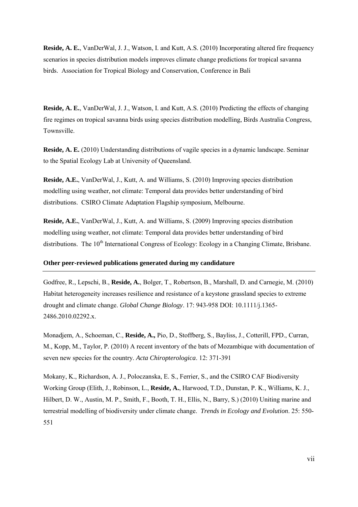**Reside, A. E.**, VanDerWal, J. J., Watson, I. and Kutt, A.S. (2010) Incorporating altered fire frequency scenarios in species distribution models improves climate change predictions for tropical savanna birds. Association for Tropical Biology and Conservation, Conference in Bali

**Reside, A. E.**, VanDerWal, J. J., Watson, I. and Kutt, A.S. (2010) Predicting the effects of changing fire regimes on tropical savanna birds using species distribution modelling, Birds Australia Congress, Townsville.

**Reside, A. E.** (2010) Understanding distributions of vagile species in a dynamic landscape. Seminar to the Spatial Ecology Lab at University of Queensland.

**Reside, A.E.**, VanDerWal, J., Kutt, A. and Williams, S. (2010) Improving species distribution modelling using weather, not climate: Temporal data provides better understanding of bird distributions. CSIRO Climate Adaptation Flagship symposium, Melbourne.

**Reside, A.E.**, VanDerWal, J., Kutt, A. and Williams, S. (2009) Improving species distribution modelling using weather, not climate: Temporal data provides better understanding of bird distributions. The 10<sup>th</sup> International Congress of Ecology: Ecology in a Changing Climate, Brisbane.

#### <span id="page-7-0"></span>**Other peer-reviewed publications generated during my candidature**

Godfree, R., Lepschi, B., **Reside, A.**, Bolger, T., Robertson, B., Marshall, D. and Carnegie, M. (2010) Habitat heterogeneity increases resilience and resistance of a keystone grassland species to extreme drought and climate change. *Global Change Biology*. 17: 943-958 DOI: 10.1111/j.1365- 2486.2010.02292.x.

Monadjem, A., Schoeman, C., **Reside, A.,** Pio, D., Stoffberg, S., Bayliss, J., Cotterill, FPD., Curran, M., Kopp, M., Taylor, P. (2010) A recent inventory of the bats of Mozambique with documentation of seven new species for the country. *Acta Chiropterologica*. 12: 371-391

Mokany, K., Richardson, A. J., Poloczanska, E. S., Ferrier, S., and the CSIRO CAF Biodiversity Working Group (Elith, J., Robinson, L., **Reside, A.**, Harwood, T.D., Dunstan, P. K., Williams, K. J., Hilbert, D. W., Austin, M. P., Smith, F., Booth, T. H., Ellis, N., Barry, S.) (2010) Uniting marine and terrestrial modelling of biodiversity under climate change. *Trends in Ecology and Evolution*. 25: 550- 551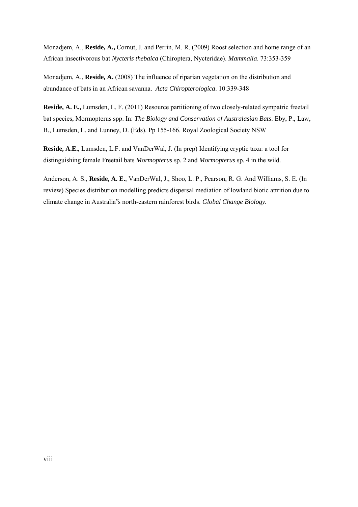Monadjem, A., **Reside, A.,** Cornut, J. and Perrin, M. R. (2009) Roost selection and home range of an African insectivorous bat *Nycteris thebaica* (Chiroptera, Nycteridae). *Mammalia*. 73:353-359

Monadjem, A., **Reside, A.** (2008) The influence of riparian vegetation on the distribution and abundance of bats in an African savanna. *Acta Chiropterologica*. 10:339-348

**Reside, A. E.,** Lumsden, L. F. (2011) Resource partitioning of two closely-related sympatric freetail bat species, Mormopterus spp. In: *The Biology and Conservation of Australasian Bats*. Eby, P., Law, B., Lumsden, L. and Lunney, D. (Eds). Pp 155-166. Royal Zoological Society NSW

**Reside, A.E.**, Lumsden, L.F. and VanDerWal, J. (In prep) Identifying cryptic taxa: a tool for distinguishing female Freetail bats *Mormopterus* sp. 2 and *Mormopterus* sp. 4 in the wild.

Anderson, A. S., **Reside, A. E.**, VanDerWal, J., Shoo, L. P., Pearson, R. G. And Williams, S. E. (In review) Species distribution modelling predicts dispersal mediation of lowland biotic attrition due to climate change in Australia"s north-eastern rainforest birds. *Global Change Biology.*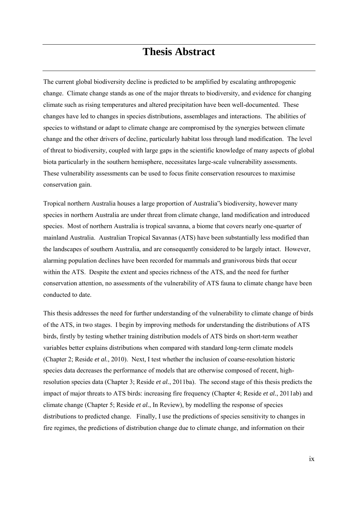## **Thesis Abstract**

<span id="page-9-0"></span>The current global biodiversity decline is predicted to be amplified by escalating anthropogenic change. Climate change stands as one of the major threats to biodiversity, and evidence for changing climate such as rising temperatures and altered precipitation have been well-documented. These changes have led to changes in species distributions, assemblages and interactions. The abilities of species to withstand or adapt to climate change are compromised by the synergies between climate change and the other drivers of decline, particularly habitat loss through land modification. The level of threat to biodiversity, coupled with large gaps in the scientific knowledge of many aspects of global biota particularly in the southern hemisphere, necessitates large-scale vulnerability assessments. These vulnerability assessments can be used to focus finite conservation resources to maximise conservation gain.

Tropical northern Australia houses a large proportion of Australia"s biodiversity, however many species in northern Australia are under threat from climate change, land modification and introduced species. Most of northern Australia is tropical savanna, a biome that covers nearly one-quarter of mainland Australia. Australian Tropical Savannas (ATS) have been substantially less modified than the landscapes of southern Australia, and are consequently considered to be largely intact. However, alarming population declines have been recorded for mammals and granivorous birds that occur within the ATS. Despite the extent and species richness of the ATS, and the need for further conservation attention, no assessments of the vulnerability of ATS fauna to climate change have been conducted to date.

This thesis addresses the need for further understanding of the vulnerability to climate change of birds of the ATS, in two stages. I begin by improving methods for understanding the distributions of ATS birds, firstly by testing whether training distribution models of ATS birds on short-term weather variables better explains distributions when compared with standard long-term climate models (Chapter 2; Reside *et al.*, 2010). Next, I test whether the inclusion of coarse-resolution historic species data decreases the performance of models that are otherwise composed of recent, highresolution species data (Chapter 3; Reside *et al.*, 2011ba). The second stage of this thesis predicts the impact of major threats to ATS birds: increasing fire frequency (Chapter 4; Reside *et al.*, 2011ab) and climate change (Chapter 5; Reside *et al.*, In Review), by modelling the response of species distributions to predicted change. Finally, I use the predictions of species sensitivity to changes in fire regimes, the predictions of distribution change due to climate change, and information on their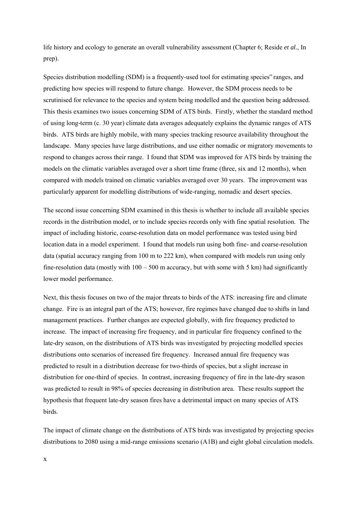life history and ecology to generate an overall vulnerability assessment (Chapter 6; Reside *et al.*, In prep).

Species distribution modelling (SDM) is a frequently-used tool for estimating species" ranges, and predicting how species will respond to future change. However, the SDM process needs to be scrutinised for relevance to the species and system being modelled and the question being addressed. This thesis examines two issues concerning SDM of ATS birds. Firstly, whether the standard method of using long-term (c. 30 year) climate data averages adequately explains the dynamic ranges of ATS birds. ATS birds are highly mobile, with many species tracking resource availability throughout the landscape. Many species have large distributions, and use either nomadic or migratory movements to respond to changes across their range. I found that SDM was improved for ATS birds by training the models on the climatic variables averaged over a short time frame (three, six and 12 months), when compared with models trained on climatic variables averaged over 30 years. The improvement was particularly apparent for modelling distributions of wide-ranging, nomadic and desert species.

The second issue concerning SDM examined in this thesis is whether to include all available species records in the distribution model, or to include species records only with fine spatial resolution. The impact of including historic, coarse-resolution data on model performance was tested using bird location data in a model experiment. I found that models run using both fine- and coarse-resolution data (spatial accuracy ranging from 100 m to 222 km), when compared with models run using only fine-resolution data (mostly with  $100 - 500$  m accuracy, but with some with 5 km) had significantly lower model performance.

Next, this thesis focuses on two of the major threats to birds of the ATS: increasing fire and climate change. Fire is an integral part of the ATS; however, fire regimes have changed due to shifts in land management practices. Further changes are expected globally, with fire frequency predicted to increase. The impact of increasing fire frequency, and in particular fire frequency confined to the late-dry season, on the distributions of ATS birds was investigated by projecting modelled species distributions onto scenarios of increased fire frequency. Increased annual fire frequency was predicted to result in a distribution decrease for two-thirds of species, but a slight increase in distribution for one-third of species. In contrast, increasing frequency of fire in the late-dry season was predicted to result in 98% of species decreasing in distribution area. These results support the hypothesis that frequent late-dry season fires have a detrimental impact on many species of ATS birds.

The impact of climate change on the distributions of ATS birds was investigated by projecting species distributions to 2080 using a mid-range emissions scenario (A1B) and eight global circulation models.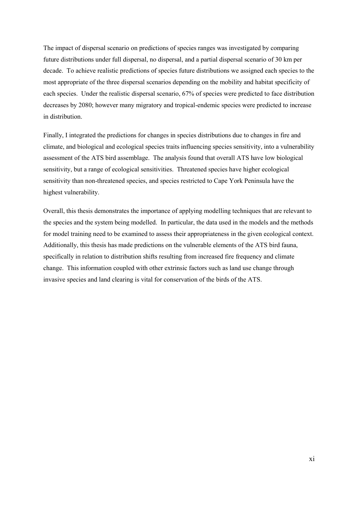The impact of dispersal scenario on predictions of species ranges was investigated by comparing future distributions under full dispersal, no dispersal, and a partial dispersal scenario of 30 km per decade. To achieve realistic predictions of species future distributions we assigned each species to the most appropriate of the three dispersal scenarios depending on the mobility and habitat specificity of each species. Under the realistic dispersal scenario, 67% of species were predicted to face distribution decreases by 2080; however many migratory and tropical-endemic species were predicted to increase in distribution.

Finally, I integrated the predictions for changes in species distributions due to changes in fire and climate, and biological and ecological species traits influencing species sensitivity, into a vulnerability assessment of the ATS bird assemblage. The analysis found that overall ATS have low biological sensitivity, but a range of ecological sensitivities. Threatened species have higher ecological sensitivity than non-threatened species, and species restricted to Cape York Peninsula have the highest vulnerability.

Overall, this thesis demonstrates the importance of applying modelling techniques that are relevant to the species and the system being modelled. In particular, the data used in the models and the methods for model training need to be examined to assess their appropriateness in the given ecological context. Additionally, this thesis has made predictions on the vulnerable elements of the ATS bird fauna, specifically in relation to distribution shifts resulting from increased fire frequency and climate change. This information coupled with other extrinsic factors such as land use change through invasive species and land clearing is vital for conservation of the birds of the ATS.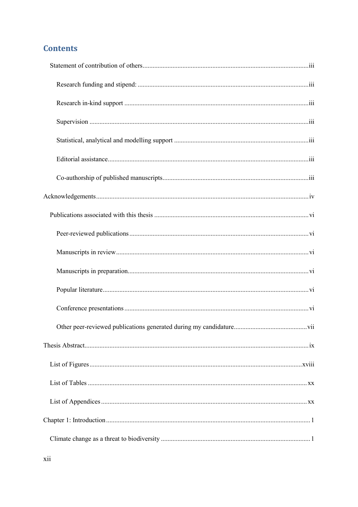### **Contents**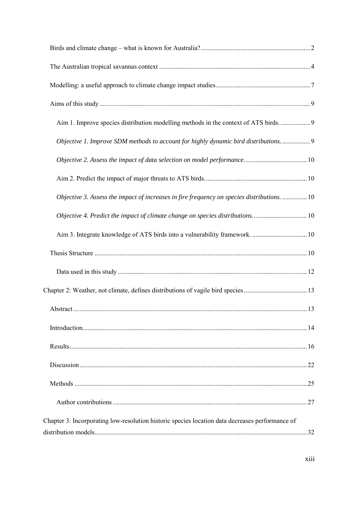| Aim 1. Improve species distribution modelling methods in the context of ATS birds               |  |
|-------------------------------------------------------------------------------------------------|--|
| Objective 1. Improve SDM methods to account for highly dynamic bird distributions.  9           |  |
|                                                                                                 |  |
|                                                                                                 |  |
| Objective 3. Assess the impact of increases in fire frequency on species distributions.  10     |  |
| Objective 4. Predict the impact of climate change on species distributions10                    |  |
|                                                                                                 |  |
|                                                                                                 |  |
|                                                                                                 |  |
|                                                                                                 |  |
|                                                                                                 |  |
|                                                                                                 |  |
|                                                                                                 |  |
|                                                                                                 |  |
|                                                                                                 |  |
|                                                                                                 |  |
| Chapter 3: Incorporating low-resolution historic species location data decreases performance of |  |
|                                                                                                 |  |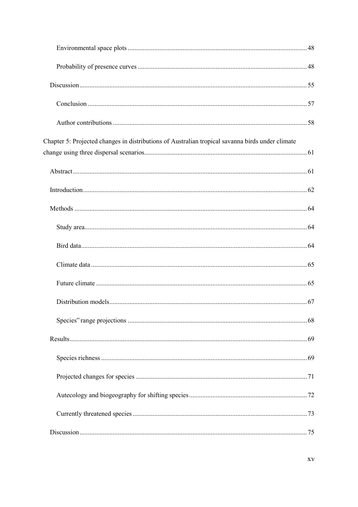| Chapter 5: Projected changes in distributions of Australian tropical savanna birds under climate |  |
|--------------------------------------------------------------------------------------------------|--|
|                                                                                                  |  |
|                                                                                                  |  |
|                                                                                                  |  |
|                                                                                                  |  |
|                                                                                                  |  |
|                                                                                                  |  |
|                                                                                                  |  |
|                                                                                                  |  |
|                                                                                                  |  |
|                                                                                                  |  |
|                                                                                                  |  |
|                                                                                                  |  |
|                                                                                                  |  |
|                                                                                                  |  |
|                                                                                                  |  |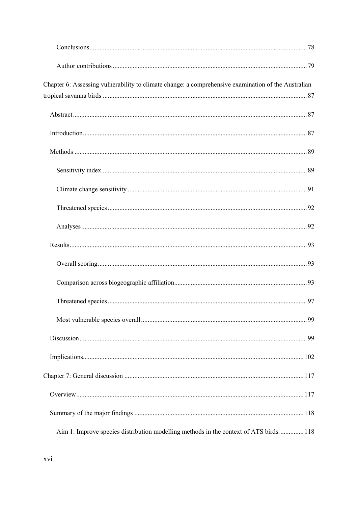| Chapter 6: Assessing vulnerability to climate change: a comprehensive examination of the Australian |  |
|-----------------------------------------------------------------------------------------------------|--|
|                                                                                                     |  |
|                                                                                                     |  |
|                                                                                                     |  |
|                                                                                                     |  |
|                                                                                                     |  |
|                                                                                                     |  |
|                                                                                                     |  |
|                                                                                                     |  |
|                                                                                                     |  |
|                                                                                                     |  |
|                                                                                                     |  |
|                                                                                                     |  |
|                                                                                                     |  |
|                                                                                                     |  |
|                                                                                                     |  |
|                                                                                                     |  |
|                                                                                                     |  |
|                                                                                                     |  |
| Aim 1. Improve species distribution modelling methods in the context of ATS birds 118               |  |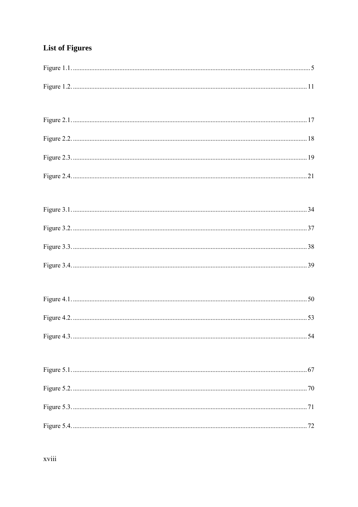## <span id="page-18-0"></span>**List of Figures**